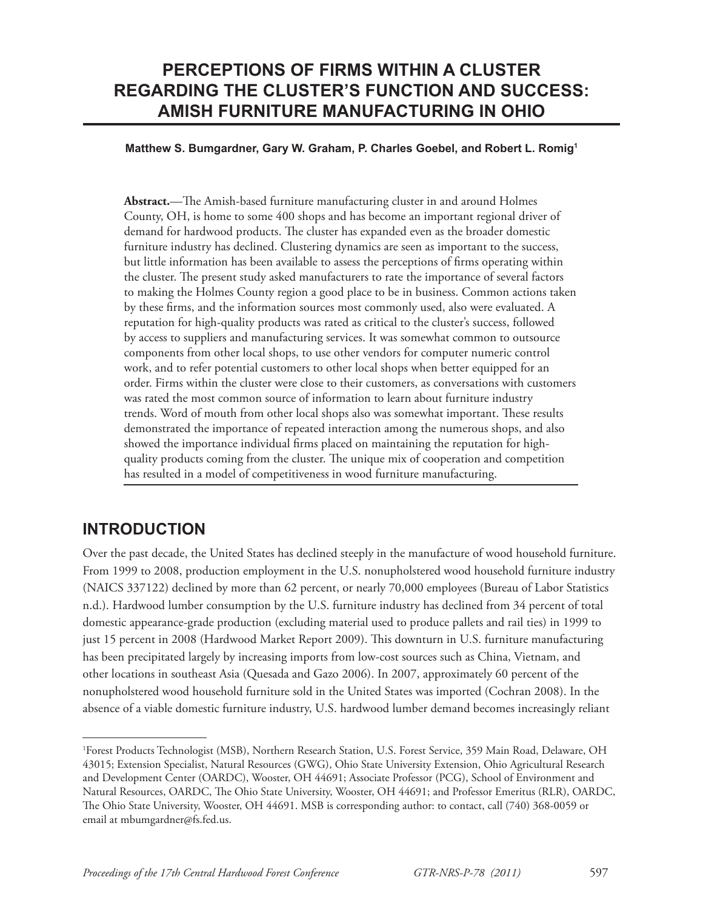# **PERCEPTIONS OF FIRMS WITHIN A CLUSTER REGARDING THE CLUSTER'S FUNCTION AND SUCCESS: AMISH FURNITURE MANUFACTURING IN OHIO**

#### **Matthew S. Bumgardner, Gary W. Graham, P. Charles Goebel, and Robert L. Romig1**

Abstract.—The Amish-based furniture manufacturing cluster in and around Holmes County, OH, is home to some 400 shops and has become an important regional driver of demand for hardwood products. The cluster has expanded even as the broader domestic furniture industry has declined. Clustering dynamics are seen as important to the success, but little information has been available to assess the perceptions of firms operating within the cluster. The present study asked manufacturers to rate the importance of several factors to making the Holmes County region a good place to be in business. Common actions taken by these firms, and the information sources most commonly used, also were evaluated. A reputation for high-quality products was rated as critical to the cluster's success, followed by access to suppliers and manufacturing services. It was somewhat common to outsource components from other local shops, to use other vendors for computer numeric control work, and to refer potential customers to other local shops when better equipped for an order. Firms within the cluster were close to their customers, as conversations with customers was rated the most common source of information to learn about furniture industry trends. Word of mouth from other local shops also was somewhat important. These results demonstrated the importance of repeated interaction among the numerous shops, and also showed the importance individual firms placed on maintaining the reputation for highquality products coming from the cluster. The unique mix of cooperation and competition has resulted in a model of competitiveness in wood furniture manufacturing.

# **INTRODUCTION**

Over the past decade, the United States has declined steeply in the manufacture of wood household furniture. From 1999 to 2008, production employment in the U.S. nonupholstered wood household furniture industry (NAICS 337122) declined by more than 62 percent, or nearly 70,000 employees (Bureau of Labor Statistics n.d.). Hardwood lumber consumption by the U.S. furniture industry has declined from 34 percent of total domestic appearance-grade production (excluding material used to produce pallets and rail ties) in 1999 to just 15 percent in 2008 (Hardwood Market Report 2009). This downturn in U.S. furniture manufacturing has been precipitated largely by increasing imports from low-cost sources such as China, Vietnam, and other locations in southeast Asia (Quesada and Gazo 2006). In 2007, approximately 60 percent of the nonupholstered wood household furniture sold in the United States was imported (Cochran 2008). In the absence of a viable domestic furniture industry, U.S. hardwood lumber demand becomes increasingly reliant

<sup>1</sup> Forest Products Technologist (MSB), Northern Research Station, U.S. Forest Service, 359 Main Road, Delaware, OH 43015; Extension Specialist, Natural Resources (GWG), Ohio State University Extension, Ohio Agricultural Research and Development Center (OARDC), Wooster, OH 44691; Associate Professor (PCG), School of Environment and Natural Resources, OARDC, The Ohio State University, Wooster, OH 44691; and Professor Emeritus (RLR), OARDC, The Ohio State University, Wooster, OH 44691. MSB is corresponding author: to contact, call (740) 368-0059 or email at mbumgardner@fs.fed.us.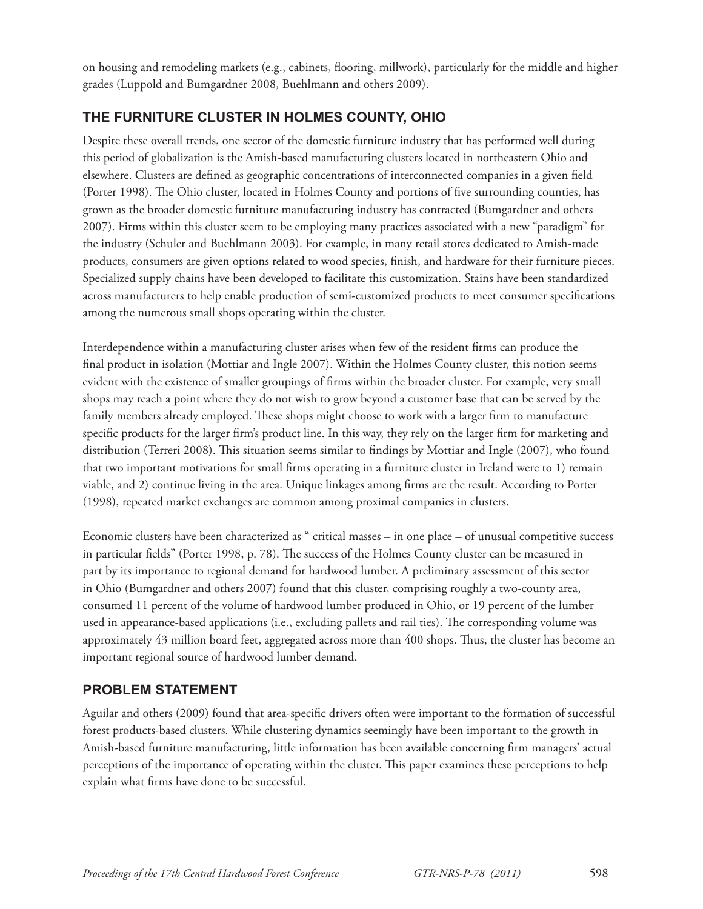on housing and remodeling markets (e.g., cabinets, fl ooring, millwork), particularly for the middle and higher grades (Luppold and Bumgardner 2008, Buehlmann and others 2009).

### **THE FURNITURE CLUSTER IN HOLMES COUNTY, OHIO**

Despite these overall trends, one sector of the domestic furniture industry that has performed well during this period of globalization is the Amish-based manufacturing clusters located in northeastern Ohio and elsewhere. Clusters are defined as geographic concentrations of interconnected companies in a given field (Porter 1998). The Ohio cluster, located in Holmes County and portions of five surrounding counties, has grown as the broader domestic furniture manufacturing industry has contracted (Bumgardner and others 2007). Firms within this cluster seem to be employing many practices associated with a new "paradigm" for the industry (Schuler and Buehlmann 2003). For example, in many retail stores dedicated to Amish-made products, consumers are given options related to wood species, finish, and hardware for their furniture pieces. Specialized supply chains have been developed to facilitate this customization. Stains have been standardized across manufacturers to help enable production of semi-customized products to meet consumer specifications among the numerous small shops operating within the cluster.

Interdependence within a manufacturing cluster arises when few of the resident firms can produce the final product in isolation (Mottiar and Ingle 2007). Within the Holmes County cluster, this notion seems evident with the existence of smaller groupings of firms within the broader cluster. For example, very small shops may reach a point where they do not wish to grow beyond a customer base that can be served by the family members already employed. These shops might choose to work with a larger firm to manufacture specific products for the larger firm's product line. In this way, they rely on the larger firm for marketing and distribution (Terreri 2008). This situation seems similar to findings by Mottiar and Ingle (2007), who found that two important motivations for small firms operating in a furniture cluster in Ireland were to 1) remain viable, and 2) continue living in the area. Unique linkages among firms are the result. According to Porter (1998), repeated market exchanges are common among proximal companies in clusters.

Economic clusters have been characterized as " critical masses – in one place – of unusual competitive success in particular fields" (Porter 1998, p. 78). The success of the Holmes County cluster can be measured in part by its importance to regional demand for hardwood lumber. A preliminary assessment of this sector in Ohio (Bumgardner and others 2007) found that this cluster, comprising roughly a two-county area, consumed 11 percent of the volume of hardwood lumber produced in Ohio, or 19 percent of the lumber used in appearance-based applications (i.e., excluding pallets and rail ties). The corresponding volume was approximately 43 million board feet, aggregated across more than 400 shops. Thus, the cluster has become an important regional source of hardwood lumber demand.

### **PROBLEM STATEMENT**

Aguilar and others (2009) found that area-specific drivers often were important to the formation of successful forest products-based clusters. While clustering dynamics seemingly have been important to the growth in Amish-based furniture manufacturing, little information has been available concerning firm managers' actual perceptions of the importance of operating within the cluster. This paper examines these perceptions to help explain what firms have done to be successful.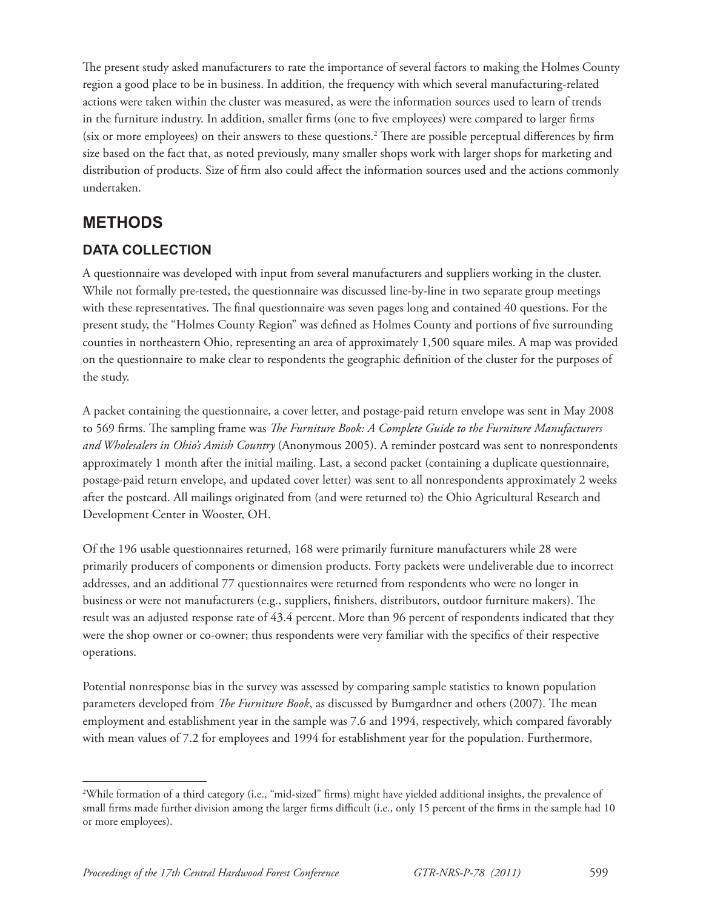The present study asked manufacturers to rate the importance of several factors to making the Holmes County region a good place to be in business. In addition, the frequency with which several manufacturing-related actions were taken within the cluster was measured, as were the information sources used to learn of trends in the furniture industry. In addition, smaller firms (one to five employees) were compared to larger firms (six or more employees) on their answers to these questions.<sup>2</sup> There are possible perceptual differences by firm size based on the fact that, as noted previously, many smaller shops work with larger shops for marketing and distribution of products. Size of firm also could affect the information sources used and the actions commonly undertaken.

# **METHODS**

### **DATA COLLECTION**

A questionnaire was developed with input from several manufacturers and suppliers working in the cluster. While not formally pre-tested, the questionnaire was discussed line-by-line in two separate group meetings with these representatives. The final questionnaire was seven pages long and contained 40 questions. For the present study, the "Holmes County Region" was defined as Holmes County and portions of five surrounding counties in northeastern Ohio, representing an area of approximately 1,500 square miles. A map was provided on the questionnaire to make clear to respondents the geographic definition of the cluster for the purposes of the study.

A packet containing the questionnaire, a cover letter, and postage-paid return envelope was sent in May 2008 to 569 firms. The sampling frame was *The Furniture Book: A Complete Guide to the Furniture Manufacturers and Wholesalers in Ohio's Amish Country* (Anonymous 2005). A reminder postcard was sent to nonrespondents approximately 1 month after the initial mailing. Last, a second packet (containing a duplicate questionnaire, postage-paid return envelope, and updated cover letter) was sent to all nonrespondents approximately 2 weeks after the postcard. All mailings originated from (and were returned to) the Ohio Agricultural Research and Development Center in Wooster, OH.

Of the 196 usable questionnaires returned, 168 were primarily furniture manufacturers while 28 were primarily producers of components or dimension products. Forty packets were undeliverable due to incorrect addresses, and an additional 77 questionnaires were returned from respondents who were no longer in business or were not manufacturers (e.g., suppliers, finishers, distributors, outdoor furniture makers). The result was an adjusted response rate of 43.4 percent. More than 96 percent of respondents indicated that they were the shop owner or co-owner; thus respondents were very familiar with the specifics of their respective operations.

Potential nonresponse bias in the survey was assessed by comparing sample statistics to known population parameters developed from *The Furniture Book*, as discussed by Bumgardner and others (2007). The mean employment and establishment year in the sample was 7.6 and 1994, respectively, which compared favorably with mean values of 7.2 for employees and 1994 for establishment year for the population. Furthermore,

<sup>&</sup>lt;sup>2</sup>While formation of a third category (i.e., "mid-sized" firms) might have yielded additional insights, the prevalence of small firms made further division among the larger firms difficult (i.e., only 15 percent of the firms in the sample had 10 or more employees).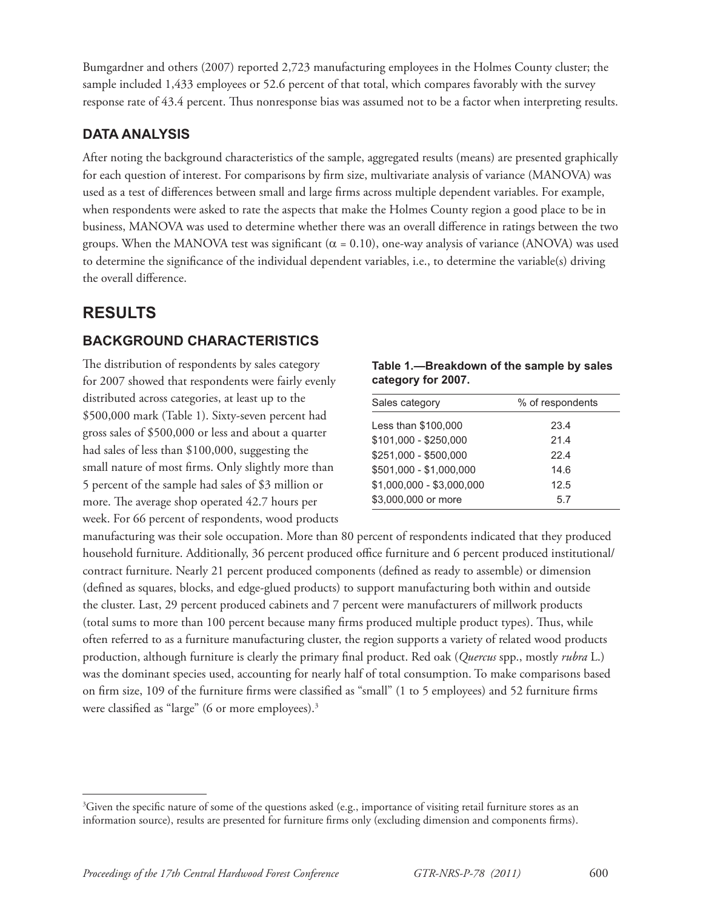Bumgardner and others (2007) reported 2,723 manufacturing employees in the Holmes County cluster; the sample included 1,433 employees or 52.6 percent of that total, which compares favorably with the survey response rate of 43.4 percent. Thus nonresponse bias was assumed not to be a factor when interpreting results.

#### **DATA ANALYSIS**

After noting the background characteristics of the sample, aggregated results (means) are presented graphically for each question of interest. For comparisons by firm size, multivariate analysis of variance (MANOVA) was used as a test of differences between small and large firms across multiple dependent variables. For example, when respondents were asked to rate the aspects that make the Holmes County region a good place to be in business, MANOVA was used to determine whether there was an overall difference in ratings between the two groups. When the MANOVA test was significant  $(\alpha = 0.10)$ , one-way analysis of variance (ANOVA) was used to determine the significance of the individual dependent variables, i.e., to determine the variable(s) driving the overall difference.

# **RESULTS**

### **BACKGROUND CHARACTERISTICS**

The distribution of respondents by sales category for 2007 showed that respondents were fairly evenly distributed across categories, at least up to the \$500,000 mark (Table 1). Sixty-seven percent had gross sales of \$500,000 or less and about a quarter had sales of less than \$100,000, suggesting the small nature of most firms. Only slightly more than 5 percent of the sample had sales of \$3 million or more. The average shop operated 42.7 hours per week. For 66 percent of respondents, wood products

**Table 1.—Breakdown of the sample by sales category for 2007.**

| Sales category            | % of respondents |
|---------------------------|------------------|
| Less than \$100,000       | 23.4             |
| $$101,000 - $250,000$     | 21.4             |
| $$251,000 - $500,000$     | 22.4             |
| \$501,000 - \$1,000,000   | 14.6             |
| $$1,000,000 - $3,000,000$ | 12.5             |
| \$3,000,000 or more       | 5.7              |

manufacturing was their sole occupation. More than 80 percent of respondents indicated that they produced household furniture. Additionally, 36 percent produced office furniture and 6 percent produced institutional/ contract furniture. Nearly 21 percent produced components (defined as ready to assemble) or dimension (defined as squares, blocks, and edge-glued products) to support manufacturing both within and outside the cluster. Last, 29 percent produced cabinets and 7 percent were manufacturers of millwork products (total sums to more than 100 percent because many firms produced multiple product types). Thus, while often referred to as a furniture manufacturing cluster, the region supports a variety of related wood products production, although furniture is clearly the primary final product. Red oak (*Quercus* spp., mostly *rubra* L.) was the dominant species used, accounting for nearly half of total consumption. To make comparisons based on firm size, 109 of the furniture firms were classified as "small" (1 to 5 employees) and 52 furniture firms were classified as "large" (6 or more employees). $3$ 

 ${}^{3}$ Given the specific nature of some of the questions asked (e.g., importance of visiting retail furniture stores as an information source), results are presented for furniture firms only (excluding dimension and components firms).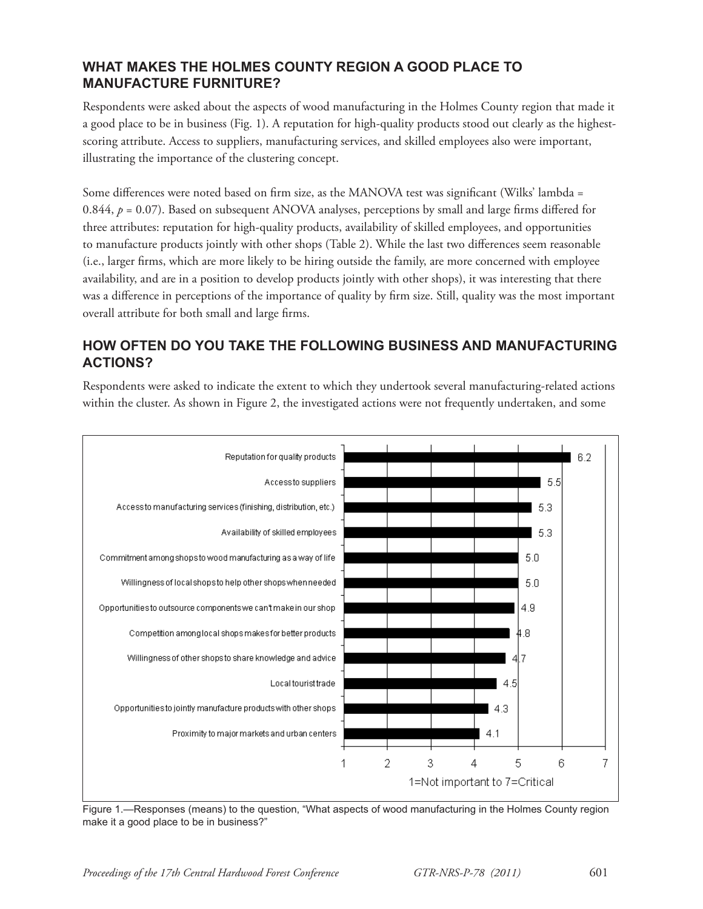#### **WHAT MAKES THE HOLMES COUNTY REGION A GOOD PLACE TO MANUFACTURE FURNITURE?**

Respondents were asked about the aspects of wood manufacturing in the Holmes County region that made it a good place to be in business (Fig. 1). A reputation for high-quality products stood out clearly as the highestscoring attribute. Access to suppliers, manufacturing services, and skilled employees also were important, illustrating the importance of the clustering concept.

Some differences were noted based on firm size, as the MANOVA test was significant (Wilks' lambda = 0.844,  $p = 0.07$ ). Based on subsequent ANOVA analyses, perceptions by small and large firms differed for three attributes: reputation for high-quality products, availability of skilled employees, and opportunities to manufacture products jointly with other shops (Table 2). While the last two differences seem reasonable (i.e., larger firms, which are more likely to be hiring outside the family, are more concerned with employee availability, and are in a position to develop products jointly with other shops), it was interesting that there was a difference in perceptions of the importance of quality by firm size. Still, quality was the most important overall attribute for both small and large firms.

#### **HOW OFTEN DO YOU TAKE THE FOLLOWING BUSINESS AND MANUFACTURING ACTIONS?**

Respondents were asked to indicate the extent to which they undertook several manufacturing-related actions within the cluster. As shown in Figure 2, the investigated actions were not frequently undertaken, and some



Figure 1.—Responses (means) to the question, "What aspects of wood manufacturing in the Holmes County region make it a good place to be in business?"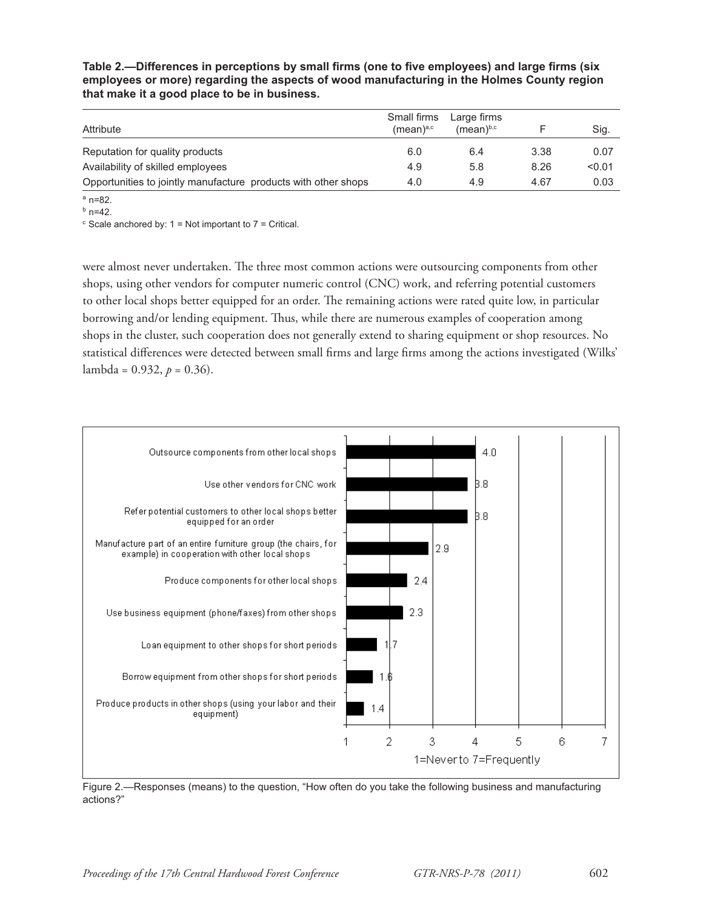Table 2.—Differences in perceptions by small firms (one to five employees) and large firms (six **employees or more) regarding the aspects of wood manufacturing in the Holmes County region that make it a good place to be in business.**

| Attribute                                                      | Small firms<br>(mean) <sup>a,c</sup> | Large firms<br>(mean) <sup>b,c</sup> |      | Sig.   |
|----------------------------------------------------------------|--------------------------------------|--------------------------------------|------|--------|
| Reputation for quality products                                | 6.0                                  | 6.4                                  | 3.38 | 0.07   |
| Availability of skilled employees                              | 4.9                                  | 5.8                                  | 8.26 | < 0.01 |
| Opportunities to jointly manufacture products with other shops | 4.0                                  | 4.9                                  | 4.67 | 0.03   |

 $a$  n=82.

 $<sup>b</sup>$  n=42.</sup>

 $\textdegree$  Scale anchored by: 1 = Not important to 7 = Critical.

were almost never undertaken. The three most common actions were outsourcing components from other shops, using other vendors for computer numeric control (CNC) work, and referring potential customers to other local shops better equipped for an order. The remaining actions were rated quite low, in particular borrowing and/or lending equipment. Thus, while there are numerous examples of cooperation among shops in the cluster, such cooperation does not generally extend to sharing equipment or shop resources. No statistical differences were detected between small firms and large firms among the actions investigated (Wilks' lambda =  $0.932$ ,  $p = 0.36$ ).



Figure 2.—Responses (means) to the question, "How often do you take the following business and manufacturing actions?"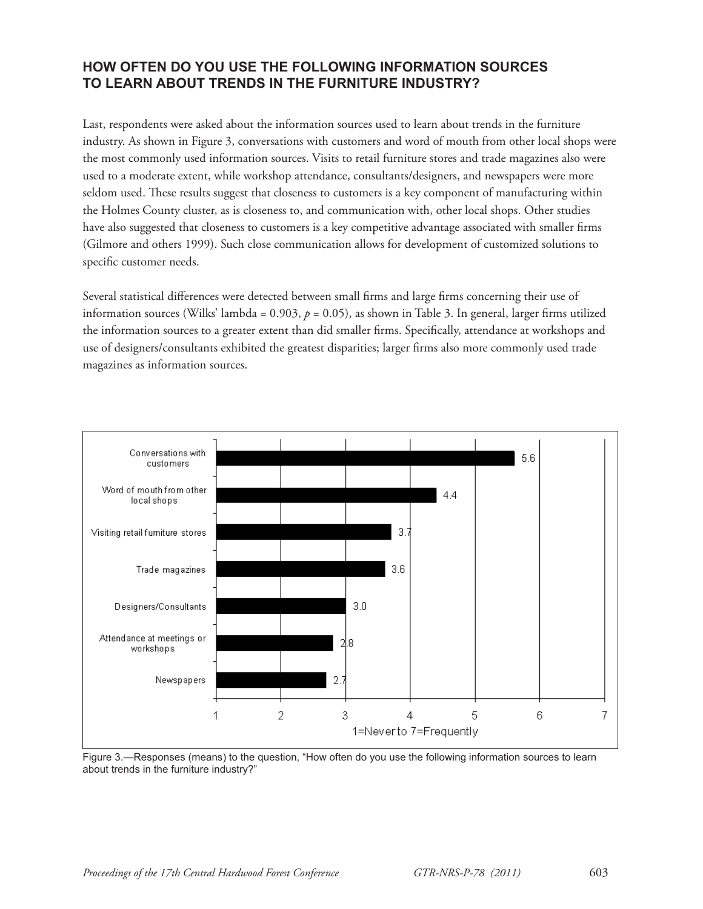#### **HOW OFTEN DO YOU USE THE FOLLOWING INFORMATION SOURCES TO LEARN ABOUT TRENDS IN THE FURNITURE INDUSTRY?**

Last, respondents were asked about the information sources used to learn about trends in the furniture industry. As shown in Figure 3, conversations with customers and word of mouth from other local shops were the most commonly used information sources. Visits to retail furniture stores and trade magazines also were used to a moderate extent, while workshop attendance, consultants/designers, and newspapers were more seldom used. These results suggest that closeness to customers is a key component of manufacturing within the Holmes County cluster, as is closeness to, and communication with, other local shops. Other studies have also suggested that closeness to customers is a key competitive advantage associated with smaller firms (Gilmore and others 1999). Such close communication allows for development of customized solutions to specific customer needs.

Several statistical differences were detected between small firms and large firms concerning their use of information sources (Wilks' lambda =  $0.903$ ,  $p = 0.05$ ), as shown in Table 3. In general, larger firms utilized the information sources to a greater extent than did smaller firms. Specifically, attendance at workshops and use of designers/consultants exhibited the greatest disparities; larger firms also more commonly used trade magazines as information sources.



Figure 3.—Responses (means) to the question, "How often do you use the following information sources to learn about trends in the furniture industry?"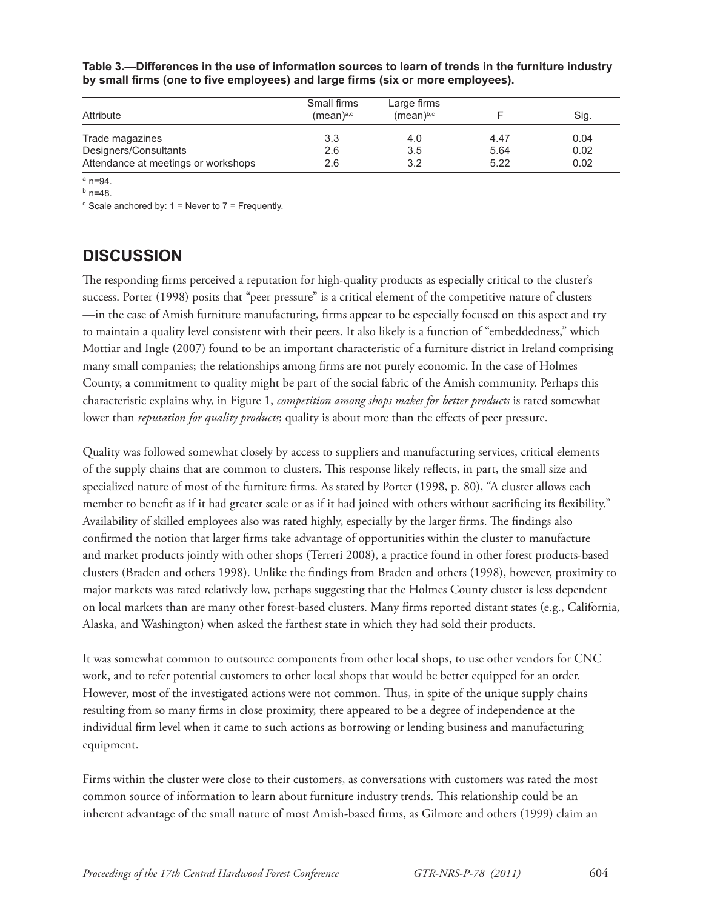| Attribute                           | Small firms<br>(mean) <sup>a,c</sup> | Large firms<br>(mean) <sup>b,c</sup> |      | Sig. |
|-------------------------------------|--------------------------------------|--------------------------------------|------|------|
| Trade magazines                     | 3.3                                  | 4.0                                  | 4.47 | 0.04 |
| Designers/Consultants               | 2.6                                  | 3.5                                  | 5.64 | 0.02 |
| Attendance at meetings or workshops | 2.6                                  | 3.2                                  | 5.22 | 0.02 |

**Table 3.—Differences in the use of information sources to learn of trends in the furniture industry**  by small firms (one to five employees) and large firms (six or more employees).

 $a$  n=94.

 $<sup>b</sup>$  n=48.</sup>

 $\textdegree$  Scale anchored by: 1 = Never to 7 = Frequently.

### **DISCUSSION**

The responding firms perceived a reputation for high-quality products as especially critical to the cluster's success. Porter (1998) posits that "peer pressure" is a critical element of the competitive nature of clusters —in the case of Amish furniture manufacturing, firms appear to be especially focused on this aspect and try to maintain a quality level consistent with their peers. It also likely is a function of "embeddedness," which Mottiar and Ingle (2007) found to be an important characteristic of a furniture district in Ireland comprising many small companies; the relationships among firms are not purely economic. In the case of Holmes County, a commitment to quality might be part of the social fabric of the Amish community. Perhaps this characteristic explains why, in Figure 1, *competition among shops makes for better products* is rated somewhat lower than *reputation for quality products*; quality is about more than the effects of peer pressure.

Quality was followed somewhat closely by access to suppliers and manufacturing services, critical elements of the supply chains that are common to clusters. This response likely reflects, in part, the small size and specialized nature of most of the furniture firms. As stated by Porter (1998, p. 80), "A cluster allows each member to benefit as if it had greater scale or as if it had joined with others without sacrificing its flexibility." Availability of skilled employees also was rated highly, especially by the larger firms. The findings also confirmed the notion that larger firms take advantage of opportunities within the cluster to manufacture and market products jointly with other shops (Terreri 2008), a practice found in other forest products-based clusters (Braden and others 1998). Unlike the findings from Braden and others (1998), however, proximity to major markets was rated relatively low, perhaps suggesting that the Holmes County cluster is less dependent on local markets than are many other forest-based clusters. Many firms reported distant states (e.g., California, Alaska, and Washington) when asked the farthest state in which they had sold their products.

It was somewhat common to outsource components from other local shops, to use other vendors for CNC work, and to refer potential customers to other local shops that would be better equipped for an order. However, most of the investigated actions were not common. Thus, in spite of the unique supply chains resulting from so many firms in close proximity, there appeared to be a degree of independence at the individual firm level when it came to such actions as borrowing or lending business and manufacturing equipment.

Firms within the cluster were close to their customers, as conversations with customers was rated the most common source of information to learn about furniture industry trends. This relationship could be an inherent advantage of the small nature of most Amish-based firms, as Gilmore and others (1999) claim an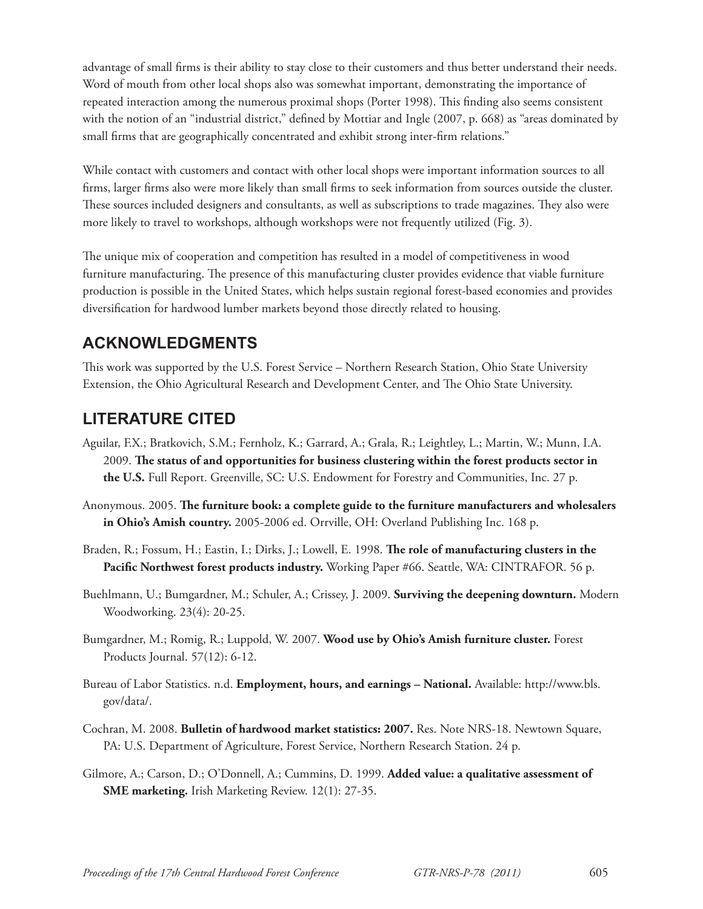advantage of small firms is their ability to stay close to their customers and thus better understand their needs. Word of mouth from other local shops also was somewhat important, demonstrating the importance of repeated interaction among the numerous proximal shops (Porter 1998). This finding also seems consistent with the notion of an "industrial district," defined by Mottiar and Ingle (2007, p. 668) as "areas dominated by small firms that are geographically concentrated and exhibit strong inter-firm relations."

While contact with customers and contact with other local shops were important information sources to all firms, larger firms also were more likely than small firms to seek information from sources outside the cluster. These sources included designers and consultants, as well as subscriptions to trade magazines. They also were more likely to travel to workshops, although workshops were not frequently utilized (Fig. 3).

The unique mix of cooperation and competition has resulted in a model of competitiveness in wood furniture manufacturing. The presence of this manufacturing cluster provides evidence that viable furniture production is possible in the United States, which helps sustain regional forest-based economies and provides diversification for hardwood lumber markets beyond those directly related to housing.

# **ACKNOWLEDGMENTS**

This work was supported by the U.S. Forest Service – Northern Research Station, Ohio State University Extension, the Ohio Agricultural Research and Development Center, and The Ohio State University.

# **LITERATURE CITED**

- Aguilar, F.X.; Bratkovich, S.M.; Fernholz, K.; Garrard, A.; Grala, R.; Leightley, L.; Martin, W.; Munn, I.A. 2009. The status of and opportunities for business clustering within the forest products sector in **the U.S.** Full Report. Greenville, SC: U.S. Endowment for Forestry and Communities, Inc. 27 p.
- Anonymous. 2005. The furniture book: a complete guide to the furniture manufacturers and wholesalers **in Ohio's Amish country.** 2005-2006 ed. Orrville, OH: Overland Publishing Inc. 168 p.
- Braden, R.; Fossum, H.; Eastin, I.; Dirks, J.; Lowell, E. 1998. **The role of manufacturing clusters in the** Pacific Northwest forest products industry. Working Paper #66. Seattle, WA: CINTRAFOR. 56 p.
- Buehlmann, U.; Bumgardner, M.; Schuler, A.; Crissey, J. 2009. **Surviving the deepening downturn.** Modern Woodworking. 23(4): 20-25.
- Bumgardner, M.; Romig, R.; Luppold, W. 2007. **Wood use by Ohio's Amish furniture cluster.** Forest Products Journal. 57(12): 6-12.
- Bureau of Labor Statistics. n.d. **Employment, hours, and earnings National.** Available: http://www.bls. gov/data/.
- Cochran, M. 2008. **Bulletin of hardwood market statistics: 2007.** Res. Note NRS-18. Newtown Square, PA: U.S. Department of Agriculture, Forest Service, Northern Research Station. 24 p.
- Gilmore, A.; Carson, D.; O'Donnell, A.; Cummins, D. 1999. **Added value: a qualitative assessment of SME marketing.** Irish Marketing Review. 12(1): 27-35.